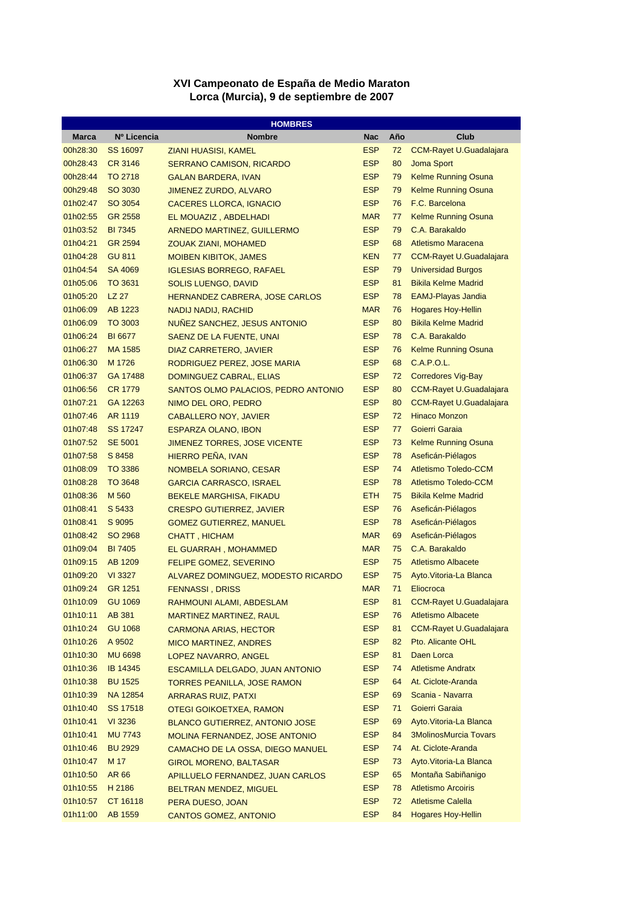## **XVI Campeonato de España de Medio Maraton Lorca (Murcia), 9 de septiembre de 2007**

| <b>HOMBRES</b>       |                 |                                        |            |     |                                |
|----------------------|-----------------|----------------------------------------|------------|-----|--------------------------------|
| Marca                | Nº Licencia     | <b>Nombre</b>                          | <b>Nac</b> | Año | Club                           |
| 00h28:30             | SS 16097        | ZIANI HUASISI, KAMEL                   | <b>ESP</b> | 72  | <b>CCM-Rayet U.Guadalajara</b> |
| 00h28:43             | <b>CR 3146</b>  | <b>SERRANO CAMISON, RICARDO</b>        | <b>ESP</b> | 80  | Joma Sport                     |
| 00h28:44             | <b>TO 2718</b>  | <b>GALAN BARDERA, IVAN</b>             | <b>ESP</b> | 79  | <b>Kelme Running Osuna</b>     |
| 00h29:48             | SO 3030         | <b>JIMENEZ ZURDO, ALVARO</b>           | <b>ESP</b> | 79  | <b>Kelme Running Osuna</b>     |
| 01h02:47             | SO 3054         | <b>CACERES LLORCA, IGNACIO</b>         | <b>ESP</b> | 76  | F.C. Barcelona                 |
| 01h02:55             | GR 2558         | EL MOUAZIZ, ABDELHADI                  | <b>MAR</b> | 77  | Kelme Running Osuna            |
| 01h03:52             | <b>BI 7345</b>  | <b>ARNEDO MARTINEZ, GUILLERMO</b>      | <b>ESP</b> | 79  | C.A. Barakaldo                 |
| 01h04:21             | <b>GR 2594</b>  | <b>ZOUAK ZIANI, MOHAMED</b>            | <b>ESP</b> | 68  | Atletismo Maracena             |
| 01h04:28             | <b>GU 811</b>   | <b>MOIBEN KIBITOK, JAMES</b>           | <b>KEN</b> | 77  | <b>CCM-Rayet U.Guadalajara</b> |
| 01h04:54             | SA 4069         | <b>IGLESIAS BORREGO, RAFAEL</b>        | <b>ESP</b> | 79  | <b>Universidad Burgos</b>      |
| 01h05:06             | TO 3631         | <b>SOLIS LUENGO, DAVID</b>             | <b>ESP</b> | 81  | <b>Bikila Kelme Madrid</b>     |
| 01h05:20             | LZ 27           | <b>HERNANDEZ CABRERA, JOSE CARLOS</b>  | <b>ESP</b> | 78  | <b>EAMJ-Playas Jandia</b>      |
| 01h06:09             | AB 1223         | <b>NADIJ NADIJ, RACHID</b>             | <b>MAR</b> | 76  | <b>Hogares Hoy-Hellin</b>      |
| 01h06:09             | TO 3003         | NUÑEZ SANCHEZ, JESUS ANTONIO           | <b>ESP</b> | 80  | <b>Bikila Kelme Madrid</b>     |
| 01h06:24             | <b>BI 6677</b>  | SAENZ DE LA FUENTE, UNAI               | <b>ESP</b> | 78  | C.A. Barakaldo                 |
| 01h06:27             | MA 1585         | DIAZ CARRETERO, JAVIER                 | <b>ESP</b> | 76  | Kelme Running Osuna            |
| 01h06:30             | M 1726          | RODRIGUEZ PEREZ, JOSE MARIA            | <b>ESP</b> | 68  | <b>C.A.P.O.L.</b>              |
| 01h06:37             | GA 17488        | DOMINGUEZ CABRAL, ELIAS                | <b>ESP</b> | 72  | <b>Corredores Vig-Bay</b>      |
| 01h06:56             | <b>CR 1779</b>  | SANTOS OLMO PALACIOS, PEDRO ANTONIO    | <b>ESP</b> | 80  | <b>CCM-Rayet U.Guadalajara</b> |
| 01h07:21             | GA 12263        | NIMO DEL ORO, PEDRO                    | <b>ESP</b> | 80  | <b>CCM-Rayet U.Guadalajara</b> |
| 01h07:46             | AR 1119         | <b>CABALLERO NOY, JAVIER</b>           | <b>ESP</b> | 72  | <b>Hinaco Monzon</b>           |
| 01h07:48             | SS 17247        | <b>ESPARZA OLANO, IBON</b>             | <b>ESP</b> | 77  | Goierri Garaia                 |
| 01h07:52             | <b>SE 5001</b>  | <b>JIMENEZ TORRES, JOSE VICENTE</b>    | <b>ESP</b> | 73  | <b>Kelme Running Osuna</b>     |
| 01h07:58             | S 8458          | HIERRO PEÑA, IVAN                      | <b>ESP</b> | 78  | Aseficán-Piélagos              |
| 01h08:09             | TO 3386         | NOMBELA SORIANO, CESAR                 | <b>ESP</b> | 74  | <b>Atletismo Toledo-CCM</b>    |
| 01h08:28             | TO 3648         | <b>GARCIA CARRASCO, ISRAEL</b>         | <b>ESP</b> | 78  | <b>Atletismo Toledo-CCM</b>    |
| 01h08:36             | M 560           | <b>BEKELE MARGHISA, FIKADU</b>         | <b>ETH</b> | 75  | <b>Bikila Kelme Madrid</b>     |
| 01h08:41             | S 5433          | <b>CRESPO GUTIERREZ, JAVIER</b>        | <b>ESP</b> | 76  | Aseficán-Piélagos              |
| 01h08:41             | S 9095          | <b>GOMEZ GUTIERREZ, MANUEL</b>         | <b>ESP</b> | 78  | Aseficán-Piélagos              |
| 01h08:42             | SO 2968         | <b>CHATT, HICHAM</b>                   | <b>MAR</b> | 69  | Aseficán-Piélagos              |
| 01h09:04             | <b>BI 7405</b>  | EL GUARRAH, MOHAMMED                   | <b>MAR</b> | 75  | C.A. Barakaldo                 |
| 01h09:15             | AB 1209         | <b>FELIPE GOMEZ, SEVERINO</b>          | <b>ESP</b> | 75  | <b>Atletismo Albacete</b>      |
| 01h09:20             | VI 3327         | ALVAREZ DOMINGUEZ, MODESTO RICARDO     | <b>ESP</b> | 75  | Ayto. Vitoria-La Blanca        |
| 01h09:24             | GR 1251         | <b>FENNASSI, DRISS</b>                 | <b>MAR</b> | 71  | Eliocroca                      |
| 01h10:09             | <b>GU 1069</b>  | RAHMOUNI ALAMI, ABDESLAM               | <b>ESP</b> | 81  | <b>CCM-Rayet U.Guadalajara</b> |
| 01h10:11             | <b>AB 381</b>   | <b>MARTINEZ MARTINEZ, RAUL</b>         | <b>ESP</b> | 76  | <b>Atletismo Albacete</b>      |
| 01h10:24             | <b>GU 1068</b>  | <b>CARMONA ARIAS, HECTOR</b>           | <b>ESP</b> | 81  | <b>CCM-Rayet U.Guadalajara</b> |
| 01h10:26             | A 9502          |                                        | <b>ESP</b> | 82  | Pto. Alicante OHL              |
| 01h10:30             | <b>MU 6698</b>  | <b>MICO MARTINEZ, ANDRES</b>           | <b>ESP</b> | 81  | Daen Lorca                     |
| 01h10:36             | <b>IB 14345</b> | LOPEZ NAVARRO, ANGEL                   | <b>ESP</b> | 74  | <b>Atletisme Andratx</b>       |
|                      |                 | <b>ESCAMILLA DELGADO, JUAN ANTONIO</b> |            |     |                                |
| 01h10:38<br>01h10:39 | <b>BU 1525</b>  | <b>TORRES PEANILLA, JOSE RAMON</b>     | <b>ESP</b> | 64  | At. Ciclote-Aranda             |
|                      | NA 12854        | <b>ARRARAS RUIZ, PATXI</b>             | <b>ESP</b> | 69  | Scania - Navarra               |
| 01h10:40             | <b>SS 17518</b> | OTEGI GOIKOETXEA, RAMON                | <b>ESP</b> | 71  | Goierri Garaia                 |
| 01h10:41             | VI 3236         | <b>BLANCO GUTIERREZ, ANTONIO JOSE</b>  | <b>ESP</b> | 69  | Ayto. Vitoria-La Blanca        |
| 01h10:41             | <b>MU 7743</b>  | MOLINA FERNANDEZ, JOSE ANTONIO         | <b>ESP</b> | 84  | <b>3MolinosMurcia Tovars</b>   |
| 01h10:46             | <b>BU 2929</b>  | CAMACHO DE LA OSSA, DIEGO MANUEL       | <b>ESP</b> | 74  | At. Ciclote-Aranda             |
| 01h10:47             | M 17            | <b>GIROL MORENO, BALTASAR</b>          | <b>ESP</b> | 73  | Ayto. Vitoria-La Blanca        |
| 01h10:50             | AR 66           | APILLUELO FERNANDEZ, JUAN CARLOS       | <b>ESP</b> | 65  | Montaña Sabiñanigo             |
| 01h10:55             | H 2186          | <b>BELTRAN MENDEZ, MIGUEL</b>          | <b>ESP</b> | 78  | <b>Atletismo Arcoiris</b>      |
| 01h10:57             | CT 16118        | PERA DUESO, JOAN                       | <b>ESP</b> | 72  | <b>Atletisme Calella</b>       |
| 01h11:00             | <b>AB 1559</b>  | <b>CANTOS GOMEZ, ANTONIO</b>           | <b>ESP</b> | 84  | <b>Hogares Hoy-Hellin</b>      |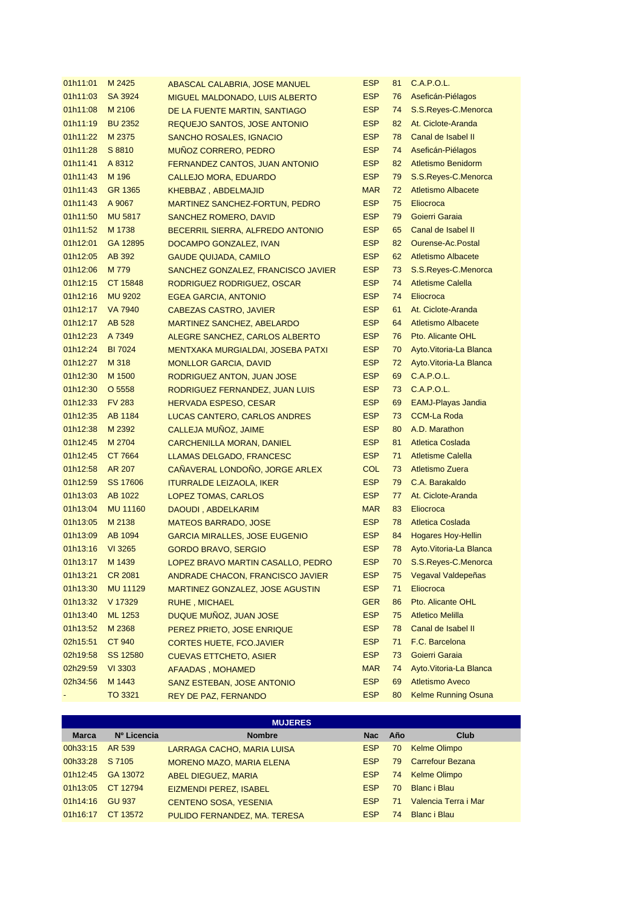| 01h11:01 | M 2425          | ABASCAL CALABRIA, JOSE MANUEL            | <b>ESP</b> | 81 | C.A.P.O.L.                 |
|----------|-----------------|------------------------------------------|------------|----|----------------------------|
| 01h11:03 | SA 3924         | <b>MIGUEL MALDONADO, LUIS ALBERTO</b>    | <b>ESP</b> | 76 | Aseficán-Piélagos          |
| 01h11:08 | M 2106          | DE LA FUENTE MARTIN, SANTIAGO            | <b>ESP</b> | 74 | S.S.Reyes-C.Menorca        |
| 01h11:19 | <b>BU 2352</b>  | <b>REQUEJO SANTOS, JOSE ANTONIO</b>      | <b>ESP</b> | 82 | At. Ciclote-Aranda         |
| 01h11:22 | M 2375          | <b>SANCHO ROSALES, IGNACIO</b>           | <b>ESP</b> | 78 | Canal de Isabel II         |
| 01h11:28 | S 8810          | MUÑOZ CORRERO, PEDRO                     | <b>ESP</b> | 74 | Aseficán-Piélagos          |
| 01h11:41 | A 8312          | FERNANDEZ CANTOS, JUAN ANTONIO           | <b>ESP</b> | 82 | <b>Atletismo Benidorm</b>  |
| 01h11:43 | M 196           | <b>CALLEJO MORA, EDUARDO</b>             | <b>ESP</b> | 79 | S.S.Reyes-C.Menorca        |
| 01h11:43 | GR 1365         | KHEBBAZ, ABDELMAJID                      | <b>MAR</b> | 72 | <b>Atletismo Albacete</b>  |
| 01h11:43 | A 9067          | MARTINEZ SANCHEZ-FORTUN, PEDRO           | <b>ESP</b> | 75 | Eliocroca                  |
| 01h11:50 | <b>MU 5817</b>  | <b>SANCHEZ ROMERO, DAVID</b>             | <b>ESP</b> | 79 | Goierri Garaia             |
| 01h11:52 | M 1738          | BECERRIL SIERRA, ALFREDO ANTONIO         | <b>ESP</b> | 65 | Canal de Isabel II         |
| 01h12:01 | GA 12895        | DOCAMPO GONZALEZ, IVAN                   | <b>ESP</b> | 82 | Ourense-Ac.Postal          |
| 01h12:05 | AB 392          | <b>GAUDE QUIJADA, CAMILO</b>             | <b>ESP</b> | 62 | <b>Atletismo Albacete</b>  |
| 01h12:06 | M 779           | SANCHEZ GONZALEZ, FRANCISCO JAVIER       | <b>ESP</b> | 73 | S.S.Reyes-C.Menorca        |
| 01h12:15 | CT 15848        | RODRIGUEZ RODRIGUEZ, OSCAR               | <b>ESP</b> | 74 | <b>Atletisme Calella</b>   |
| 01h12:16 | <b>MU 9202</b>  | <b>EGEA GARCIA, ANTONIO</b>              | <b>ESP</b> | 74 | Eliocroca                  |
| 01h12:17 | <b>VA 7940</b>  | <b>CABEZAS CASTRO, JAVIER</b>            | <b>ESP</b> | 61 | At. Ciclote-Aranda         |
| 01h12:17 | <b>AB 528</b>   | <b>MARTINEZ SANCHEZ, ABELARDO</b>        | <b>ESP</b> | 64 | <b>Atletismo Albacete</b>  |
| 01h12:23 | A 7349          | ALEGRE SANCHEZ, CARLOS ALBERTO           | <b>ESP</b> | 76 | Pto. Alicante OHL          |
| 01h12:24 | <b>BI 7024</b>  | <b>MENTXAKA MURGIALDAI, JOSEBA PATXI</b> | <b>ESP</b> | 70 | Ayto. Vitoria-La Blanca    |
| 01h12:27 | M 318           | <b>MONLLOR GARCIA, DAVID</b>             | <b>ESP</b> | 72 | Ayto. Vitoria-La Blanca    |
| 01h12:30 | M 1500          | RODRIGUEZ ANTON, JUAN JOSE               | <b>ESP</b> | 69 | <b>C.A.P.O.L.</b>          |
| 01h12:30 | O 5558          | RODRIGUEZ FERNANDEZ, JUAN LUIS           | <b>ESP</b> | 73 | <b>C.A.P.O.L.</b>          |
| 01h12:33 | <b>FV 283</b>   | <b>HERVADA ESPESO, CESAR</b>             | <b>ESP</b> | 69 | <b>EAMJ-Playas Jandia</b>  |
| 01h12:35 | AB 1184         | LUCAS CANTERO, CARLOS ANDRES             | <b>ESP</b> | 73 | <b>CCM-La Roda</b>         |
| 01h12:38 | M 2392          | CALLEJA MUÑOZ, JAIME                     | <b>ESP</b> | 80 | A.D. Marathon              |
| 01h12:45 | M 2704          | CARCHENILLA MORAN, DANIEL                | <b>ESP</b> | 81 | <b>Atletica Coslada</b>    |
| 01h12:45 | CT 7664         | LLAMAS DELGADO, FRANCESC                 | <b>ESP</b> | 71 | <b>Atletisme Calella</b>   |
| 01h12:58 | AR 207          | CAÑAVERAL LONDOÑO, JORGE ARLEX           | <b>COL</b> | 73 | <b>Atletismo Zuera</b>     |
| 01h12:59 | SS 17606        | <b>ITURRALDE LEIZAOLA, IKER</b>          | <b>ESP</b> | 79 | C.A. Barakaldo             |
| 01h13:03 | AB 1022         | LOPEZ TOMAS, CARLOS                      | <b>ESP</b> | 77 | At. Ciclote-Aranda         |
| 01h13:04 | <b>MU 11160</b> | DAOUDI, ABDELKARIM                       | <b>MAR</b> | 83 | Eliocroca                  |
| 01h13:05 | M 2138          | <b>MATEOS BARRADO, JOSE</b>              | <b>ESP</b> | 78 | <b>Atletica Coslada</b>    |
| 01h13:09 | AB 1094         | <b>GARCIA MIRALLES, JOSE EUGENIO</b>     | <b>ESP</b> | 84 | <b>Hogares Hoy-Hellin</b>  |
| 01h13:16 | VI 3265         | <b>GORDO BRAVO, SERGIO</b>               | <b>ESP</b> | 78 | Ayto. Vitoria-La Blanca    |
| 01h13:17 | M 1439          | LOPEZ BRAVO MARTIN CASALLO, PEDRO        | <b>ESP</b> | 70 | S.S.Reyes-C.Menorca        |
| 01h13:21 | CR 2081         | ANDRADE CHACON, FRANCISCO JAVIER         | <b>ESP</b> | 75 | Vegaval Valdepeñas         |
| 01h13:30 | <b>MU 11129</b> | MARTINEZ GONZALEZ, JOSE AGUSTIN          | <b>ESP</b> | 71 | Eliocroca                  |
| 01h13:32 | V 17329         | <b>RUHE, MICHAEL</b>                     | <b>GER</b> | 86 | Pto. Alicante OHL          |
| 01h13:40 | <b>ML 1253</b>  | DUQUE MUÑOZ, JUAN JOSE                   | <b>ESP</b> | 75 | <b>Atletico Melilla</b>    |
| 01h13:52 | M 2368          | PEREZ PRIETO, JOSE ENRIQUE               | <b>ESP</b> | 78 | Canal de Isabel II         |
| 02h15:51 | <b>CT 940</b>   | <b>CORTES HUETE, FCO.JAVIER</b>          | <b>ESP</b> | 71 | F.C. Barcelona             |
| 02h19:58 | SS 12580        | <b>CUEVAS ETTCHETO, ASIER</b>            | <b>ESP</b> | 73 | Goierri Garaia             |
| 02h29:59 | VI 3303         | <b>AFAADAS, MOHAMED</b>                  | <b>MAR</b> | 74 | Ayto. Vitoria-La Blanca    |
| 02h34:56 | M 1443          | SANZ ESTEBAN, JOSE ANTONIO               | <b>ESP</b> | 69 | <b>Atletismo Aveco</b>     |
|          | TO 3321         | REY DE PAZ, FERNANDO                     | <b>ESP</b> | 80 | <b>Kelme Running Osuna</b> |

| <b>MUJERES</b> |                   |                                 |            |     |                         |  |
|----------------|-------------------|---------------------------------|------------|-----|-------------------------|--|
| <b>Marca</b>   | Nº Licencia       | <b>Nombre</b>                   | <b>Nac</b> | Año | Club                    |  |
| 00h33:15       | AR 539            | LARRAGA CACHO, MARIA LUISA      | <b>ESP</b> | 70  | <b>Kelme Olimpo</b>     |  |
| 00h33:28       | S 7105            | <b>MORENO MAZO, MARIA ELENA</b> | <b>ESP</b> | 79  | <b>Carrefour Bezana</b> |  |
|                | 01h12:45 GA 13072 | <b>ABEL DIEGUEZ, MARIA</b>      | <b>ESP</b> |     | 74 Kelme Olimpo         |  |
| 01h13:05       | CT 12794          | <b>EIZMENDI PEREZ, ISABEL</b>   | <b>ESP</b> | 70  | Blanc i Blau            |  |
| 01h14:16       | <b>GU 937</b>     | <b>CENTENO SOSA, YESENIA</b>    | <b>ESP</b> | 71  | Valencia Terra i Mar    |  |
| 01h16:17       | CT 13572          | PULIDO FERNANDEZ, MA. TERESA    | <b>ESP</b> | 74  | <b>Blanc i Blau</b>     |  |